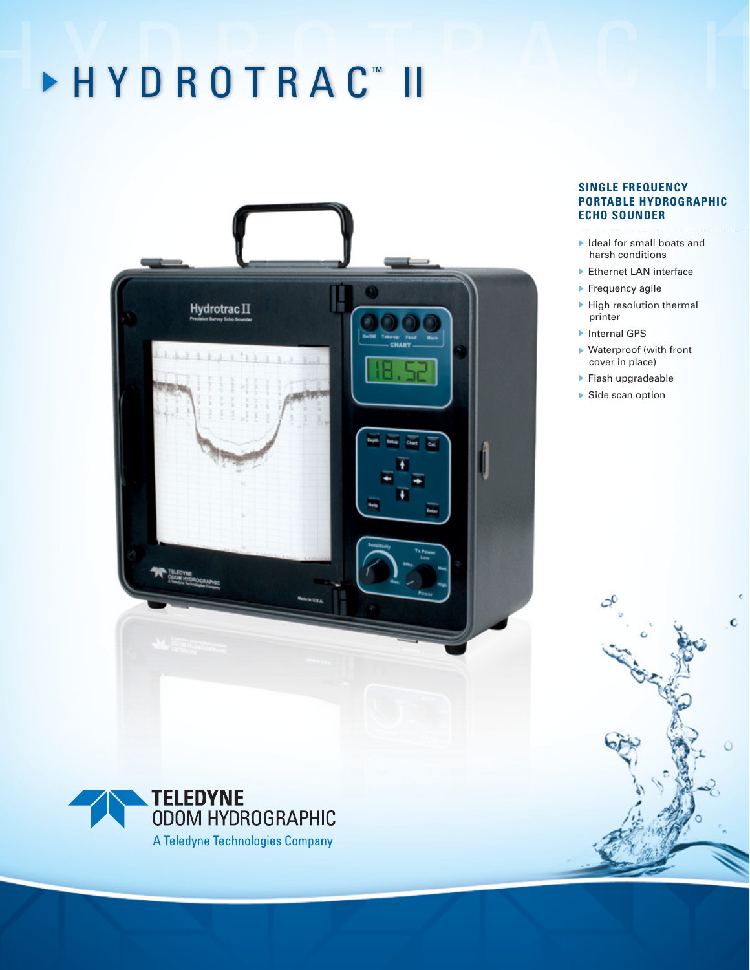## ▶ H Y D R O T R A C ™ II II C II



### **SINGLE FREQUENCY PORTABLE HYDROGRAPHIC ECHO SOUNDER**

- Ideal for small boats and harsh conditions
- ▶ Ethernet LAN interface
- ▶ Frequency agile
- $\blacktriangleright$  High resolution thermal printer
- ▶ Internal GPS
- Waterproof (with front cover in place)

 $\mathbf C$ 

- Flash upgradeable
- ▶ Side scan option